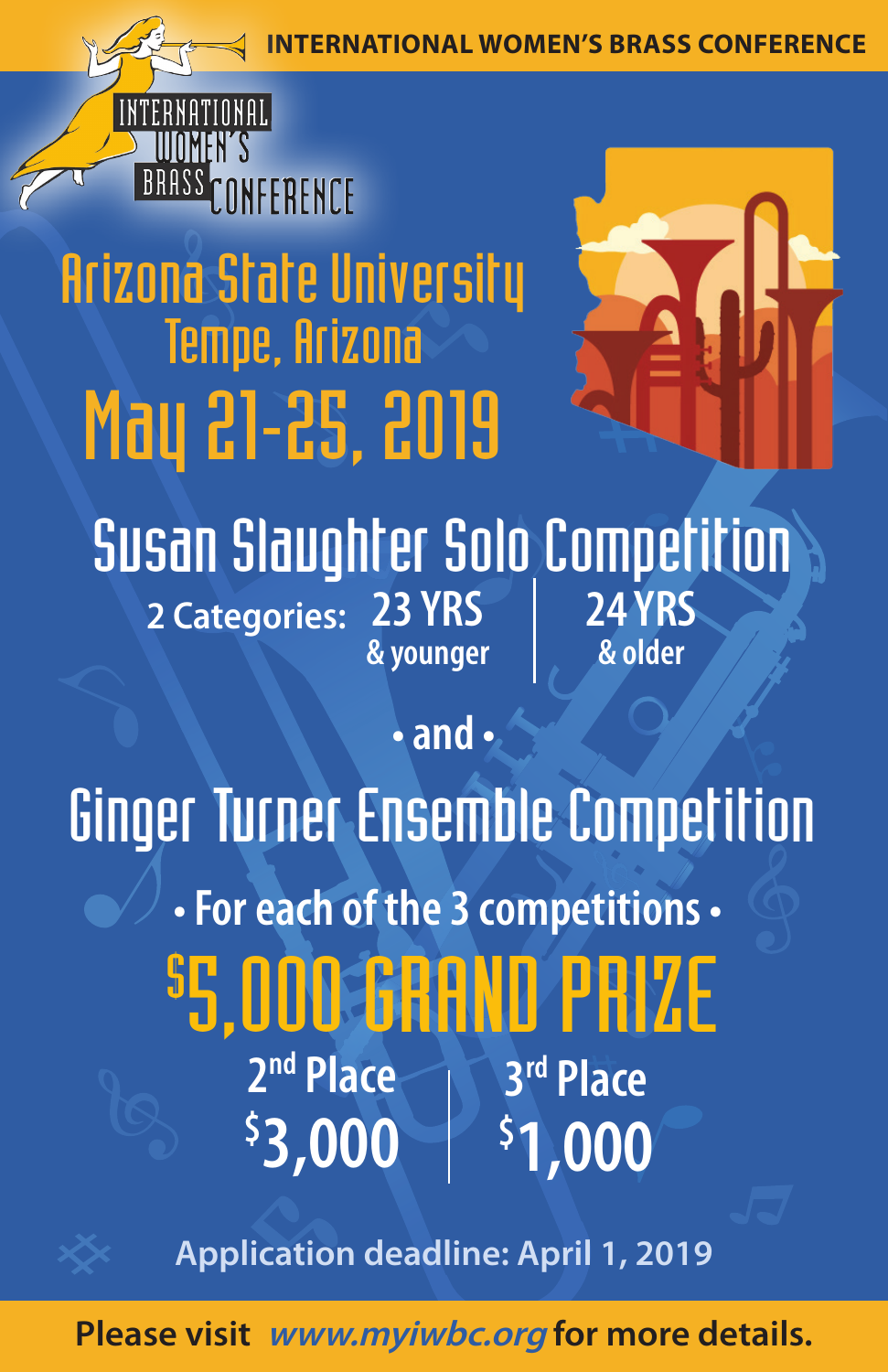*<u>ONAL WOMEN'S BRASS CONFERENCE</u>* 



# Arizona State University Tempe, Arizona May 21-25, 2019



## **Susan Slaughter Solo Competition** 2 Categories: 23 YRS **& younger 24 YRS & older**

**• and •**

 **• For each of the 3 competitions •** \$ 5,000 GRAND PRIZE **3rd Place \$ 1,000 2nd Place \$ 3,000** Ginger Turner Ensemble Competition

**Application deadline: April 1, 2019**

**Please visit www.myiwbc.org for more details.**